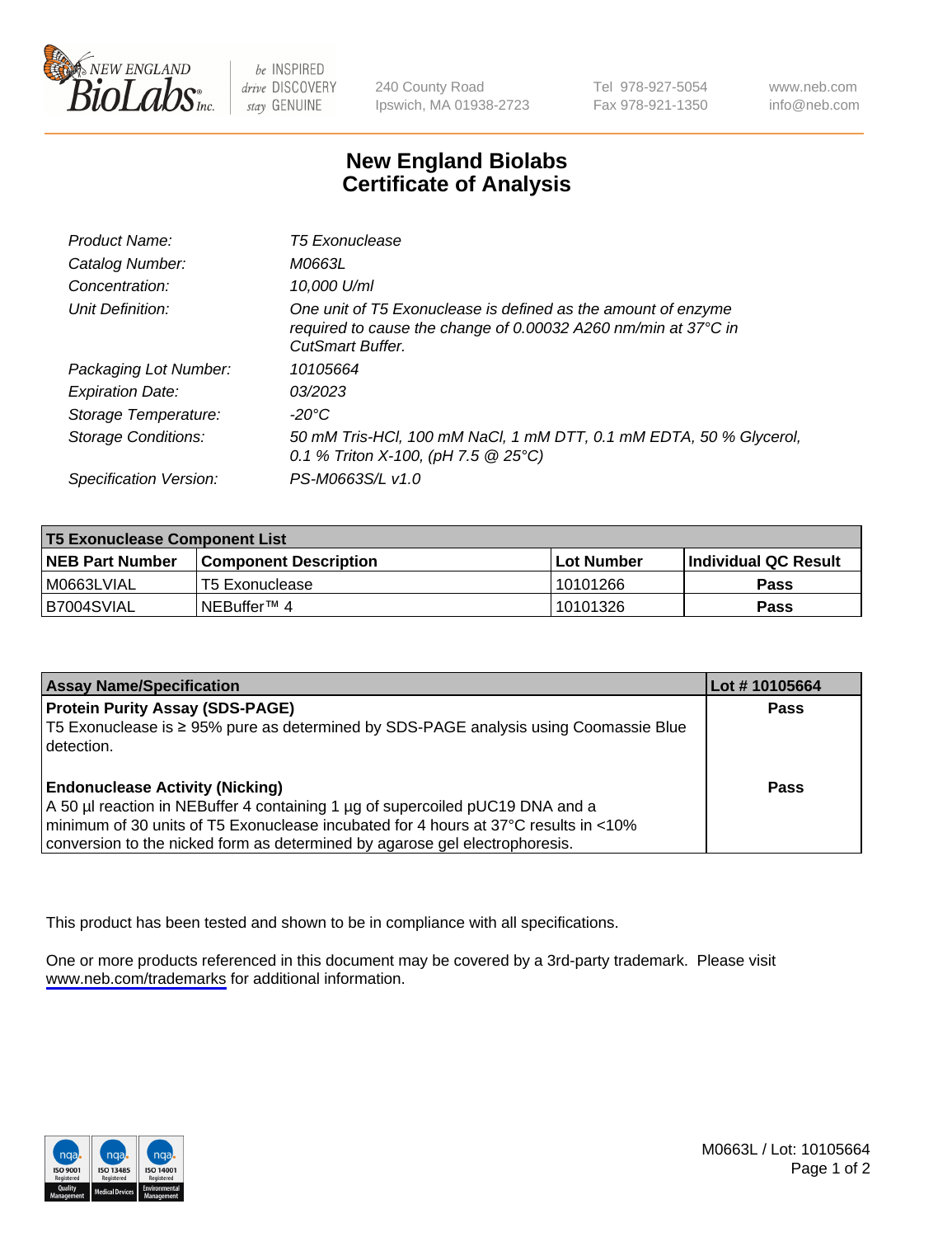

be INSPIRED drive DISCOVERY stay GENUINE

240 County Road Ipswich, MA 01938-2723 Tel 978-927-5054 Fax 978-921-1350

www.neb.com info@neb.com

## **New England Biolabs Certificate of Analysis**

| Product Name:              | <b>T5 Exonuclease</b>                                                                                                                                      |
|----------------------------|------------------------------------------------------------------------------------------------------------------------------------------------------------|
| Catalog Number:            | M0663L                                                                                                                                                     |
| Concentration:             | 10,000 U/ml                                                                                                                                                |
| Unit Definition:           | One unit of T5 Exonuclease is defined as the amount of enzyme<br>required to cause the change of 0.00032 A260 nm/min at 37°C in<br><b>CutSmart Buffer.</b> |
| Packaging Lot Number:      | 10105664                                                                                                                                                   |
| <b>Expiration Date:</b>    | 03/2023                                                                                                                                                    |
| Storage Temperature:       | $-20^{\circ}$ C                                                                                                                                            |
| <b>Storage Conditions:</b> | 50 mM Tris-HCl, 100 mM NaCl, 1 mM DTT, 0.1 mM EDTA, 50 % Glycerol,<br>0.1 % Triton X-100, (pH 7.5 $@25°C$ )                                                |
| Specification Version:     | PS-M0663S/L v1.0                                                                                                                                           |

| <b>T5 Exonuclease Component List</b> |                              |              |                             |  |
|--------------------------------------|------------------------------|--------------|-----------------------------|--|
| <b>NEB Part Number</b>               | <b>Component Description</b> | l Lot Number | <b>Individual QC Result</b> |  |
| I M0663LVIAL                         | T5 Exonuclease               | 10101266     | <b>Pass</b>                 |  |
| IB7004SVIAL                          | l NEBuffer™ 4∶               | 10101326     | <b>Pass</b>                 |  |

| <b>Assay Name/Specification</b>                                                                                                                                                                                                                                                               | Lot # 10105664 |
|-----------------------------------------------------------------------------------------------------------------------------------------------------------------------------------------------------------------------------------------------------------------------------------------------|----------------|
| <b>Protein Purity Assay (SDS-PAGE)</b><br>T5 Exonuclease is ≥ 95% pure as determined by SDS-PAGE analysis using Coomassie Blue<br>I detection.                                                                                                                                                | <b>Pass</b>    |
| <b>Endonuclease Activity (Nicking)</b><br>A 50 µl reaction in NEBuffer 4 containing 1 µg of supercoiled pUC19 DNA and a<br>minimum of 30 units of T5 Exonuclease incubated for 4 hours at 37°C results in <10%<br>conversion to the nicked form as determined by agarose gel electrophoresis. | Pass           |

This product has been tested and shown to be in compliance with all specifications.

One or more products referenced in this document may be covered by a 3rd-party trademark. Please visit <www.neb.com/trademarks>for additional information.